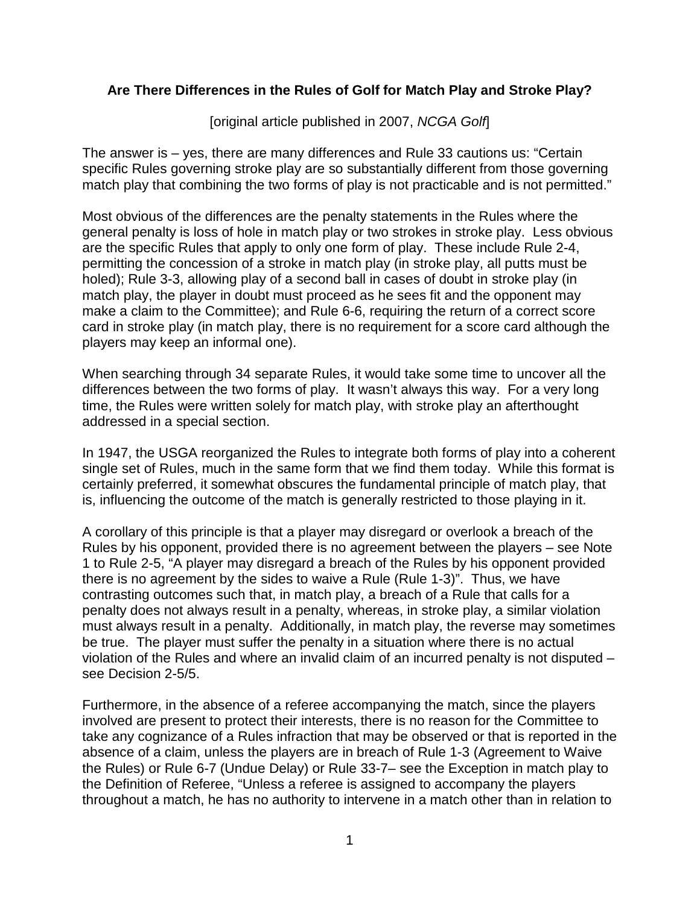## **Are There Differences in the Rules of Golf for Match Play and Stroke Play?**

[original article published in 2007, *NCGA Golf*]

The answer is – yes, there are many differences and Rule 33 cautions us: "Certain specific Rules governing stroke play are so substantially different from those governing match play that combining the two forms of play is not practicable and is not permitted."

Most obvious of the differences are the penalty statements in the Rules where the general penalty is loss of hole in match play or two strokes in stroke play. Less obvious are the specific Rules that apply to only one form of play. These include Rule 2-4, permitting the concession of a stroke in match play (in stroke play, all putts must be holed); Rule 3-3, allowing play of a second ball in cases of doubt in stroke play (in match play, the player in doubt must proceed as he sees fit and the opponent may make a claim to the Committee); and Rule 6-6, requiring the return of a correct score card in stroke play (in match play, there is no requirement for a score card although the players may keep an informal one).

When searching through 34 separate Rules, it would take some time to uncover all the differences between the two forms of play. It wasn't always this way. For a very long time, the Rules were written solely for match play, with stroke play an afterthought addressed in a special section.

In 1947, the USGA reorganized the Rules to integrate both forms of play into a coherent single set of Rules, much in the same form that we find them today. While this format is certainly preferred, it somewhat obscures the fundamental principle of match play, that is, influencing the outcome of the match is generally restricted to those playing in it.

A corollary of this principle is that a player may disregard or overlook a breach of the Rules by his opponent, provided there is no agreement between the players – see Note 1 to Rule 2-5, "A player may disregard a breach of the Rules by his opponent provided there is no agreement by the sides to waive a Rule (Rule 1-3)". Thus, we have contrasting outcomes such that, in match play, a breach of a Rule that calls for a penalty does not always result in a penalty, whereas, in stroke play, a similar violation must always result in a penalty. Additionally, in match play, the reverse may sometimes be true. The player must suffer the penalty in a situation where there is no actual violation of the Rules and where an invalid claim of an incurred penalty is not disputed – see Decision 2-5/5.

Furthermore, in the absence of a referee accompanying the match, since the players involved are present to protect their interests, there is no reason for the Committee to take any cognizance of a Rules infraction that may be observed or that is reported in the absence of a claim, unless the players are in breach of Rule 1-3 (Agreement to Waive the Rules) or Rule 6-7 (Undue Delay) or Rule 33-7– see the Exception in match play to the Definition of Referee, "Unless a referee is assigned to accompany the players throughout a match, he has no authority to intervene in a match other than in relation to